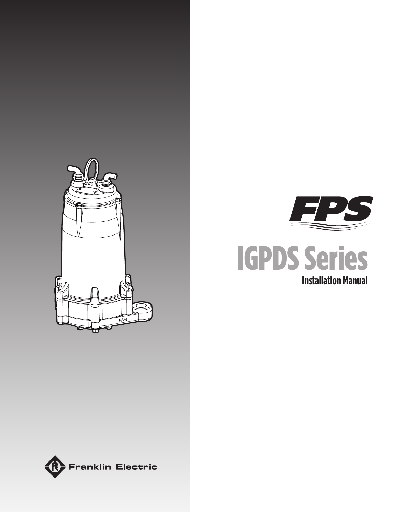





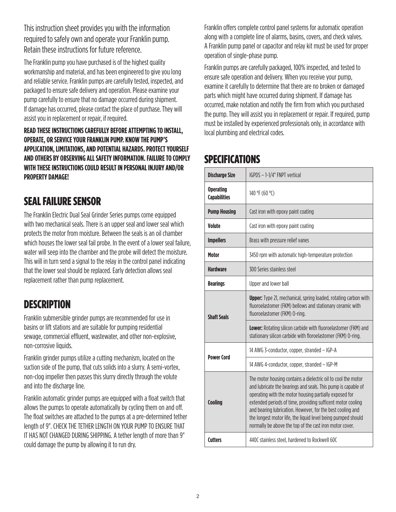This instruction sheet provides you with the information required to safely own and operate your Franklin pump. Retain these instructions for future reference.

The Franklin pump you have purchased is of the highest quality workmanship and material, and has been engineered to give you long and reliable service. Franklin pumps are carefully tested, inspected, and packaged to ensure safe delivery and operation. Please examine your pump carefully to ensure that no damage occurred during shipment. If damage has occurred, please contact the place of purchase. They will assist you in replacement or repair, if required.

### **READ THESE INSTRUCTIONS CAREFULLY BEFORE ATTEMPTING TO INSTALL, OPERATE, OR SERVICE YOUR FRANKLIN PUMP. KNOW THE PUMP'S APPLICATION, LIMITATIONS, AND POTENTIAL HAZARDS. PROTECT YOURSELF AND OTHERS BY OBSERVING ALL SAFETY INFORMATION. FAILURE TO COMPLY WITH THESE INSTRUCTIONS COULD RESULT IN PERSONAL INJURY AND/OR PROPERTY DAMAGE!**

## SEAL FAILURE SENSOR

The Franklin Electric Dual Seal Grinder Series pumps come equipped with two mechanical seals. There is an upper seal and lower seal which protects the motor from moisture. Between the seals is an oil chamber which houses the lower seal fail probe. In the event of a lower seal failure, water will seep into the chamber and the probe will detect the moisture. This will in turn send a signal to the relay in the control panel indicating that the lower seal should be replaced. Early detection allows seal replacement rather than pump replacement.

## **DESCRIPTION**

Franklin submersible grinder pumps are recommended for use in basins or lift stations and are suitable for pumping residential sewage, commercial effluent, wastewater, and other non-explosive, non-corrosive liquids.

Franklin grinder pumps utilize a cutting mechanism, located on the suction side of the pump, that cuts solids into a slurry. A semi-vortex, non-clog impeller then passes this slurry directly through the volute and into the discharge line.

Franklin automatic grinder pumps are equipped with a float switch that allows the pumps to operate automatically by cycling them on and off. The float switches are attached to the pumps at a pre-determined tether length of 9". CHECK THE TETHER LENGTH ON YOUR PUMP TO ENSURE THAT IT HAS NOT CHANGED DURING SHIPPING. A tether length of more than 9" could damage the pump by allowing it to run dry.

Franklin offers complete control panel systems for automatic operation along with a complete line of alarms, basins, covers, and check valves. A Franklin pump panel or capacitor and relay kit must be used for proper operation of single-phase pump.

Franklin pumps are carefully packaged, 100% inspected, and tested to ensure safe operation and delivery. When you receive your pump, examine it carefully to determine that there are no broken or damaged parts which might have occurred during shipment. If damage has occurred, make notation and notify the firm from which you purchased the pump. They will assist you in replacement or repair. If required, pump must be installed by experienced professionals only, in accordance with local plumbing and electrical codes.

## **SPECIFICATIONS**

| <b>Discharge Size</b>                   | IGPDS - 1-1/4" FNPT vertical                                                                                                                                                                                                                                                                                                                                                                                                                     |  |  |  |
|-----------------------------------------|--------------------------------------------------------------------------------------------------------------------------------------------------------------------------------------------------------------------------------------------------------------------------------------------------------------------------------------------------------------------------------------------------------------------------------------------------|--|--|--|
| <b>Operating</b><br><b>Capabilities</b> | 140 °F (60 °C)                                                                                                                                                                                                                                                                                                                                                                                                                                   |  |  |  |
| <b>Pump Housing</b>                     | Cast iron with epoxy paint coating                                                                                                                                                                                                                                                                                                                                                                                                               |  |  |  |
| <b>Volute</b>                           | Cast iron with epoxy paint coating                                                                                                                                                                                                                                                                                                                                                                                                               |  |  |  |
| <b>Impellers</b>                        | Brass with pressure relief vanes                                                                                                                                                                                                                                                                                                                                                                                                                 |  |  |  |
| <b>Motor</b>                            | 3450 rpm with automatic high-temperature protection                                                                                                                                                                                                                                                                                                                                                                                              |  |  |  |
| Hardware                                | 300 Series stainless steel                                                                                                                                                                                                                                                                                                                                                                                                                       |  |  |  |
| <b>Bearings</b>                         | Upper and lower ball                                                                                                                                                                                                                                                                                                                                                                                                                             |  |  |  |
| <b>Shaft Seals</b>                      | <b>Upper:</b> Type 21, mechanical, spring loaded, rotating carbon with<br>fluoroelastomer (FKM) bellows and stationary ceramic with<br>fluoroelastomer (FKM) 0-ring.                                                                                                                                                                                                                                                                             |  |  |  |
|                                         | Lower: Rotating silicon carbide with fluoroelastomer (FKM) and<br>stationary silicon carbide with floroelastomer (FKM) 0-ring.                                                                                                                                                                                                                                                                                                                   |  |  |  |
| <b>Power Cord</b>                       | 14 AWG 3-conductor, copper, stranded - IGP-A                                                                                                                                                                                                                                                                                                                                                                                                     |  |  |  |
|                                         | 14 AWG 4-conductor, copper, stranded - IGP-M                                                                                                                                                                                                                                                                                                                                                                                                     |  |  |  |
| <b>Cooling</b>                          | The motor housing contains a dielectric oil to cool the motor<br>and lubricate the bearings and seals. This pump is capable of<br>operating with the motor housing partially exposed for<br>extended periods of time, providing sufficent motor cooling<br>and bearing lubrication. However, for the best cooling and<br>the longest motor life, the liquid level being pumped should<br>normally be above the top of the cast iron motor cover. |  |  |  |
| Cutters                                 | 440C stainless steel, hardened to Rockwell 60C                                                                                                                                                                                                                                                                                                                                                                                                   |  |  |  |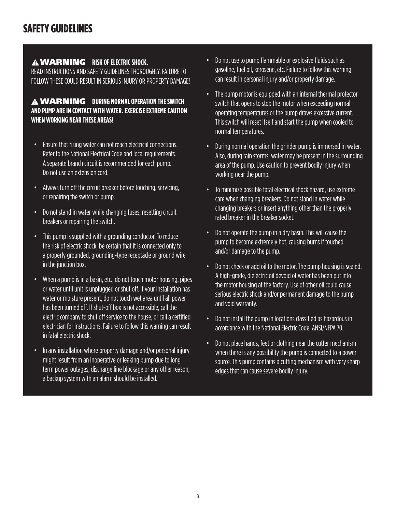### WARNING **RISK OF ELECTRIC SHOCK.**

READ INSTRUCTIONS AND SAFETY GUIDELINES THOROUGHLY. FAILURE TO FOLLOW THESE COULD RESULT IN SERIOUS INJURY OR PROPERTY DAMAGE!

### **A WARNING DURING NORMAL OPERATION THE SWITCH AND PUMP ARE IN CONTACT WITH WATER. EXERCISE EXTREME CAUTION WHEN WORKING NEAR THESE AREAS!**

- Ensure that rising water can not reach electrical connections. Refer to the National Electrical Code and local requirements. A separate branch circuit is recommended for each pump. Do not use an extension cord.
- Always turn off the circuit breaker before touching, servicing, or repairing the switch or pump.
- Do not stand in water while changing fuses, resetting circuit breakers or repairing the switch.
- This pump is supplied with a grounding conductor. To reduce the risk of electric shock, be certain that it is connected only to a properly grounded, grounding-type receptacle or ground wire in the junction box.
- When a pump is in a basin, etc., do not touch motor housing, pipes or water until unit is unplugged or shut off. If your installation has water or moisture present, do not touch wet area until all power has been turned off. If shut-off box is not accessible, call the electric company to shut off service to the house, or call a certified electrician for instructions. Failure to follow this warning can result in fatal electric shock.
- In any installation where property damage and/or personal injury might result from an inoperative or leaking pump due to long term power outages, discharge line blockage or any other reason, a backup system with an alarm should be installed.
- Do not use to pump flammable or explosive fluids such as gasoline, fuel oil, kerosene, etc. Failure to follow this warning can result in personal injury and/or property damage.
- The pump motor is equipped with an internal thermal protector switch that opens to stop the motor when exceeding normal operating temperatures or the pump draws excessive current. This switch will reset itself and start the pump when cooled to normal temperatures.
- During normal operation the grinder pump is immersed in water. Also, during rain storms, water may be present in the surrounding area of the pump. Use caution to prevent bodily injury when working near the pump.
- To minimize possible fatal electrical shock hazard, use extreme care when changing breakers. Do not stand in water while changing breakers or insert anything other than the properly rated breaker in the breaker socket.
- Do not operate the pump in a dry basin. This will cause the pump to become extremely hot, causing burns if touched and/or damage to the pump.
- Do not check or add oil to the motor. The pump housing is sealed. A high-grade, dielectric oil devoid of water has been put into the motor housing at the factory. Use of other oil could cause serious electric shock and/or permanent damage to the pump and void warranty.
- Do not install the pump in locations classified as hazardous in accordance with the National Electric Code, ANSI/NFPA 70.
- Do not place hands, feet or clothing near the cutter mechanism when there is any possibility the pump is connected to a power source. This pump contains a cutting mechanism with very sharp edges that can cause severe bodily injury.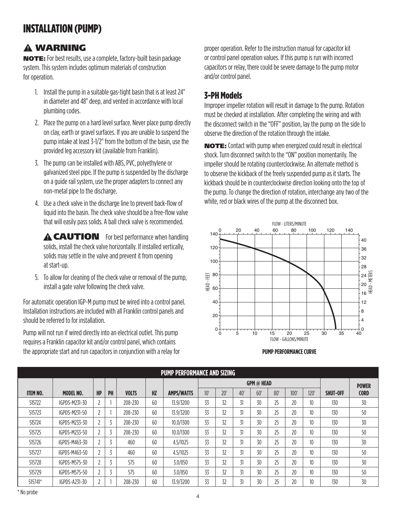# INSTALLATION (PUMP)

### WARNING

NOTE: For best results, use a complete, factory-built basin package system. This system includes optimum materials of construction for operation.

- 1. Install the pump in a suitable gas-tight basin that is at least 24" in diameter and 48" deep, and vented in accordance with local plumbing codes.
- 2. Place the pump on a hard level surface. Never place pump directly on clay, earth or gravel surfaces. If you are unable to suspend the pump intake at least 3-1/2" from the bottom of the basin, use the provided leg accessory kit (available from Franklin).
- 3. The pump can be installed with ABS, PVC, polyethylene or galvanized steel pipe. If the pump is suspended by the discharge on a guide rail system, use the proper adapters to connect any non-metal pipe to the discharge.
- 4. Use a check valve in the discharge line to prevent back-flow of liquid into the basin. The check valve should be a free-flow valve that will easily pass solids. A ball check valve is recommended.

**A CAUTION** For best performance when handling solids, install the check valve horizontally. If installed vertically, solids may settle in the valve and prevent it from opening at start-up.

5. To allow for cleaning of the check valve or removal of the pump, install a gate valve following the check valve.

For automatic operation IGP-M pump must be wired into a control panel. Installation instructions are included with all Franklin control panels and should be referred to for installation.

Pump will not run if wired directly into an electrical outlet. This pump requires a Franklin capacitor kit and/or control panel, which contains the appropriate start and run capacitors in conjunction with a relay for proper operation. Refer to the instruction manual for capacitor kit or control panel operation values. If this pump is run with incorrect capacitors or relay, there could be severe damage to the pump motor and/or control panel.

### 3-PH Models

Improper impeller rotation will result in damage to the pump. Rotation must be checked at installation. After completing the wiring and with the disconnect switch in the "OFF" position, lay the pump on the side to observe the direction of the rotation through the intake.

NOTE: Contact with pump when energized could result in electrical shock. Turn disconnect switch to the "ON" position momentarily. The impeller should be rotating counterclockwise. An alternate method is to observe the kickback of the freely suspended pump as it starts. The kickback should be in counterclockwise direction looking onto the top of the pump. To change the direction of rotation, interchange any two of the white, red or black wires of the pump at the disconnect box.



#### **PUMP PERFORMANCE CURVE**

| <b>PUMP PERFORMANCE AND SIZING</b> |                  |           |    |              |           |                   |     |     |     |                   |     |     |                  |                 |              |
|------------------------------------|------------------|-----------|----|--------------|-----------|-------------------|-----|-----|-----|-------------------|-----|-----|------------------|-----------------|--------------|
|                                    |                  |           |    |              |           |                   |     |     |     | <b>GPM</b> @ HEAD |     |     |                  |                 | <b>POWER</b> |
| <b>ITEM NO.</b>                    | <b>MODEL NO.</b> | <b>HP</b> | PH | <b>VOLTS</b> | <b>HZ</b> | <b>AMPS/WATTS</b> | 10' | 20' | 40' | 60'               | 80' | 100 | 120'             | <b>SHUT-OFF</b> | <b>CORD</b>  |
| 515722                             | IGPDS-M231-30    |           |    | 208-230      | 60        | 13.9/3200         | 33  | 32  | 31  | 30                | 25  | 20  | 10               | 130             | 30           |
| 515723                             | IGPDS-M231-50    |           |    | 208-230      | 60        | 13.9/3200         | 33  | 32  | 31  | 30                | 25  | 20  | 10               | 130             | 50           |
| 515724                             | IGPDS-M233-30    |           | 3  | 208-230      | 60        | 10.0/1300         | 33  | 32  | 31  | 30                | 25  | 20  | 10               | 130             | 30           |
| 515725                             | IGPDS-M233-50    |           |    | 208-230      | 60        | 10.0/1300         | 33  | 32  | 31  | 30                | 25  | 20  | 10 <sup>10</sup> | 130             | 50           |
| 515726                             | IGPDS-M463-30    |           | 3  | 460          | 60        | 4.5/1025          | 33  | 32  | 31  | 30                | 25  | 20  | 10               | 130             | 30           |
| 515727                             | IGPDS-M463-50    |           | 3  | 460          | 60        | 4.5/1025          | 33  | 32  | 31  | 30                | 25  | 20  | 10               | 130             | 50           |
| 515728                             | IGPDS-M575-30    |           | 3  | 575          | 60        | 3.0/850           | 33  | 32  | 31  | 30                | 25  | 20  | 10               | 130             | 30           |
| 515729                             | IGPDS-M575-50    |           | 3  | 575          | 60        | 3.0/850           | 33  | 32  | 31  | 30                | 25  | 20  | 10               | 130             | 50           |
| 515741*                            | IGPDS-A231-30    |           |    | 208-230      | 60        | 13.9/3200         | 33  | 32  | 31  | 30                | 25  | 20  | 10 <sup>°</sup>  | 130             | 30           |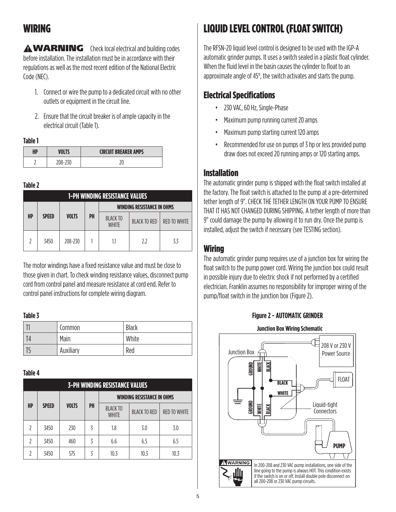# WIRING

**A WARNING** Check local electrical and building codes before installation. The installation must be in accordance with their regulations as well as the most recent edition of the National Electric Code (NEC).

- 1. Connect or wire the pump to a dedicated circuit with no other outlets or equipment in the circuit line.
- 2. Ensure that the circuit breaker is of ample capacity in the electrical circuit (Table 1).

#### **Table 1**

| HP | /OLTS   | <b>CIRCUIT BREAKER AMPS</b> |
|----|---------|-----------------------------|
|    | 208-230 |                             |

#### **Table 2**

|    | <b>1-PH WINDING RESISTANCE VALUES</b> |              |    |                                 |                                   |                     |
|----|---------------------------------------|--------------|----|---------------------------------|-----------------------------------|---------------------|
|    |                                       |              |    |                                 | <b>WINDING RESISTANCE IN OHMS</b> |                     |
| HP | <b>SPEED</b>                          | <b>VOLTS</b> | PH | <b>BLACK TO</b><br><b>WHITE</b> | <b>BLACK TO RED</b>               | <b>RED TO WHITE</b> |
|    | 3450                                  | 208-230      |    | 1.1                             | 7.7                               | 3.3                 |

The motor windings have a fixed resistance value and must be close to those given in chart. To check winding resistance values, disconnect pump cord from control panel and measure resistance at cord end. Refer to control panel instructions for complete wiring diagram.

### **Table 3**

|                | Common    | Black |
|----------------|-----------|-------|
| T <sub>4</sub> | Main      | White |
| יו             | Auxiliary | Red   |

### **Table 4**

|    | <b>3-PH WINDING RESISTANCE VALUES</b> |              |    |                                 |                                   |                     |
|----|---------------------------------------|--------------|----|---------------------------------|-----------------------------------|---------------------|
|    |                                       |              |    |                                 | <b>WINDING RESISTANCE IN OHMS</b> |                     |
| HP | <b>SPEED</b>                          | <b>VOLTS</b> | PH | <b>BLACK TO</b><br><b>WHITE</b> | <b>BLACK TO RED</b>               | <b>RED TO WHITE</b> |
| 7  | 3450                                  | 230          | ζ  | 1.8                             | 3.0                               | 3.0                 |
| 7  | 3450                                  | 460          | ζ  | 6.6                             | 6.5                               | 6.5                 |
|    | 3450                                  | 575          | ζ  | 10.3                            | 10.3                              | 10.3                |

# LIQUID LEVEL CONTROL (FLOAT SWITCH)

The RFSN-20 liquid level control is designed to be used with the IGP-A automatic grinder pumps. It uses a switch sealed in a plastic float cylinder. When the fluid level in the basin causes the cylinder to float to an approximate angle of 45°, the switch activates and starts the pump.

## Electrical Specifications

- 230 VAC, 60 Hz, Single-Phase
- Maximum pump running current 20 amps
- Maximum pump starting current 120 amps
- Recommended for use on pumps of 3 hp or less provided pump draw does not exceed 20 running amps or 120 starting amps.

### Installation

The automatic grinder pump is shipped with the float switch installed at the factory. The float switch is attached to the pump at a pre-determined tether length of 9". CHECK THE TETHER LENGTH ON YOUR PUMP TO ENSURE THAT IT HAS NOT CHANGED DURING SHIPPING. A tether length of more than 9" could damage the pump by allowing it to run dry. Once the pump is installed, adjust the switch if necessary (see TESTING section).

### **Wiring**

The automatic grinder pump requires use of a junction box for wiring the float switch to the pump power cord. Wiring the junction box could result in possible injury due to electric shock if not performed by a certified electrician. Franklin assumes no responsibility for improper wiring of the pump/float switch in the junction box (Figure 2).



**Figure 2 - AUTOMATIC GRINDER**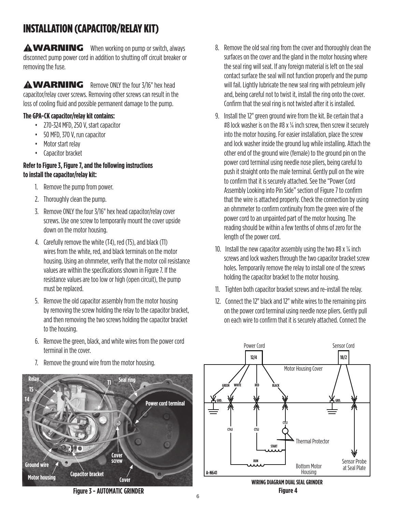# INSTALLATION (CAPACITOR/RELAY KIT)

**AWARNING** When working on pump or switch, always disconnect pump power cord in addition to shutting off circuit breaker or removing the fuse.

**AWARNING** Remove ONLY the four 3/16" hex head capacitor/relay cover screws. Removing other screws can result in the loss of cooling fluid and possible permanent damage to the pump.

### **The GPA-CK capacitor/relay kit contains:**

- 270-324 MFD, 250 V, start capacitor
- 50 MFD, 370 V, run capacitor
- Motor start relay
- Capacitor bracket

### **Refer to Figure 3, Figure 7, and the following instructions to install the capacitor/relay kit:**

- 1. Remove the pump from power.
- 2. Thoroughly clean the pump.
- 3. Remove ONLY the four 3/16" hex head capacitor/relay cover screws. Use one screw to temporarily mount the cover upside down on the motor housing.
- 4. Carefully remove the white (T4), red (T5), and black (T1) wires from the white, red, and black terminals on the motor housing. Using an ohmmeter, verify that the motor coil resistance values are within the specifications shown in Figure 7. If the resistance values are too low or high (open circuit), the pump must be replaced.
- 5. Remove the old capacitor assembly from the motor housing by removing the screw holding the relay to the capacitor bracket, and then removing the two screws holding the capacitor bracket to the housing.
- 6. Remove the green, black, and white wires from the power cord terminal in the cover.
- 7. Remove the ground wire from the motor housing.



**Figure 3 - AUTOMATIC GRINDER**

- 8. Remove the old seal ring from the cover and thoroughly clean the surfaces on the cover and the gland in the motor housing where the seal ring will seat. If any foreign material is left on the seal contact surface the seal will not function properly and the pump will fail. Lightly lubricate the new seal ring with petroleum jelly and, being careful not to twist it, install the ring onto the cover. Confirm that the seal ring is not twisted after it is installed.
- 9. Install the 12" green ground wire from the kit. Be certain that a #8 lock washer is on the #8 x  $\frac{1}{4}$  inch screw, then screw it securely into the motor housing. For easier installation, place the screw and lock washer inside the ground lug while installing. Attach the other end of the ground wire (female) to the ground pin on the power cord terminal using needle nose pliers, being careful to push it straight onto the male terminal. Gently pull on the wire to confirm that it is securely attached. See the "Power Cord Assembly Looking into Pin Side" section of Figure 7 to confirm that the wire is attached properly. Check the connection by using an ohmmeter to confirm continuity from the green wire of the power cord to an unpainted part of the motor housing. The reading should be within a few tenths of ohms of zero for the length of the power cord.
- 10. Install the new capacitor assembly using the two #8  $\times$  1/4 inch screws and lock washers through the two capacitor bracket screw holes. Temporarily remove the relay to install one of the screws holding the capacitor bracket to the motor housing.
- 11. Tighten both capacitor bracket screws and re-install the relay.
- 12. Connect the 12" black and 12" white wires to the remaining pins on the power cord terminal using needle nose pliers. Gently pull on each wire to confirm that it is securely attached. Connect the



**WIRING DIAGRAM DUAL SEAL GRINDER Figure 4**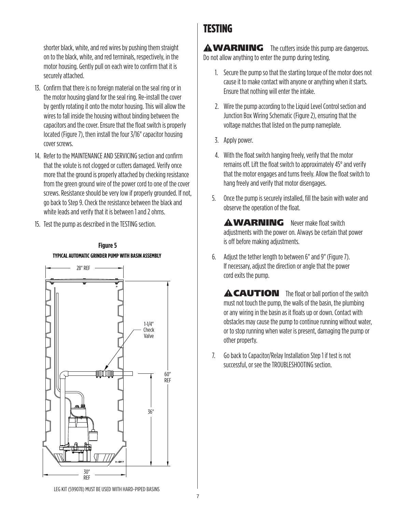shorter black, white, and red wires by pushing them straight on to the black, white, and red terminals, respectively, in the motor housing. Gently pull on each wire to confirm that it is securely attached.

- 13. Confirm that there is no foreign material on the seal ring or in the motor housing gland for the seal ring. Re-install the cover by gently rotating it onto the motor housing. This will allow the wires to fall inside the housing without binding between the capacitors and the cover. Ensure that the float switch is properly located (Figure 7), then install the four 3/16" capacitor housing cover screws.
- 14. Refer to the MAINTENANCE AND SERVICING section and confirm that the volute is not clogged or cutters damaged. Verify once more that the ground is properly attached by checking resistance from the green ground wire of the power cord to one of the cover screws. Resistance should be very low if properly grounded. If not, go back to Step 9. Check the resistance between the black and white leads and verify that it is between 1 and 2 ohms.
- 15. Test the pump as described in the TESTING section.



# **TYPICAL AUTOMATIC GRINDER PUMP WITH BASIN ASSEMBLY Figure 5**

## TESTING

**AWARNING** The cutters inside this pump are dangerous. Do not allow anything to enter the pump during testing.

- 1. Secure the pump so that the starting torque of the motor does not cause it to make contact with anyone or anything when it starts. Ensure that nothing will enter the intake.
- 2. Wire the pump according to the Liquid Level Control section and Junction Box Wiring Schematic (Figure 2), ensuring that the voltage matches that listed on the pump nameplate.
- 3. Apply power.
- 4. With the float switch hanging freely, verify that the motor remains off. Lift the float switch to approximately 45° and verify that the motor engages and turns freely. Allow the float switch to hang freely and verify that motor disengages.
- 5. Once the pump is securely installed, fill the basin with water and observe the operation of the float.

**AWARNING** Never make float switch adjustments with the power on. Always be certain that power is off before making adjustments.

6. Adjust the tether length to between 6" and 9" (Figure 7). If necessary, adjust the direction or angle that the power cord exits the pump.

**A CAUTION** The float or ball portion of the switch must not touch the pump, the walls of the basin, the plumbing or any wiring in the basin as it floats up or down. Contact with obstacles may cause the pump to continue running without water, or to stop running when water is present, damaging the pump or other property.

7. Go back to Capacitor/Relay Installation Step 1 if test is not successful, or see the TROUBLESHOOTING section.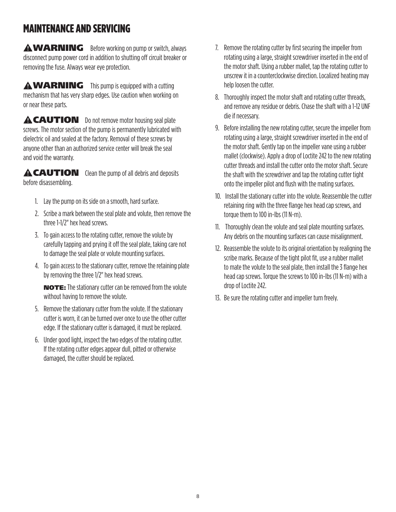# MAINTENANCE AND SERVICING

**AWARNING** Before working on pump or switch, always disconnect pump power cord in addition to shutting off circuit breaker or removing the fuse. Always wear eye protection.

 $\mathbf \Delta \mathbf W \mathbf A \mathbf R \mathbf N \mathbf I \mathbf N \mathbf G$  This pump is equipped with a cutting mechanism that has very sharp edges. Use caution when working on or near these parts.

**A CAUTION** Do not remove motor housing seal plate screws. The motor section of the pump is permanently lubricated with dielectric oil and sealed at the factory. Removal of these screws by anyone other than an authorized service center will break the seal and void the warranty.

**A CAUTION** Clean the pump of all debris and deposits before disassembling.

- 1. Lay the pump on its side on a smooth, hard surface.
- 2. Scribe a mark between the seal plate and volute, then remove the three 1-1/2" hex head screws.
- 3. To gain access to the rotating cutter, remove the volute by carefully tapping and prying it off the seal plate, taking care not to damage the seal plate or volute mounting surfaces.
- 4. To gain access to the stationary cutter, remove the retaining plate by removing the three 1/2" hex head screws.

NOTE: The stationary cutter can be removed from the volute without having to remove the volute.

- 5. Remove the stationary cutter from the volute. If the stationary cutter is worn, it can be turned over once to use the other cutter edge. If the stationary cutter is damaged, it must be replaced.
- 6. Under good light, inspect the two edges of the rotating cutter. If the rotating cutter edges appear dull, pitted or otherwise damaged, the cutter should be replaced.
- 7. Remove the rotating cutter by first securing the impeller from rotating using a large, straight screwdriver inserted in the end of the motor shaft. Using a rubber mallet, tap the rotating cutter to unscrew it in a counterclockwise direction. Localized heating may help loosen the cutter.
- 8. Thoroughly inspect the motor shaft and rotating cutter threads, and remove any residue or debris. Chase the shaft with a 1-12 UNF die if necessary.
- 9. Before installing the new rotating cutter, secure the impeller from rotating using a large, straight screwdriver inserted in the end of the motor shaft. Gently tap on the impeller vane using a rubber mallet (clockwise). Apply a drop of Loctite 242 to the new rotating cutter threads and install the cutter onto the motor shaft. Secure the shaft with the screwdriver and tap the rotating cutter tight onto the impeller pilot and flush with the mating surfaces.
- 10. Install the stationary cutter into the volute. Reassemble the cutter retaining ring with the three flange hex head cap screws, and torque them to 100 in-lbs (11 N-m).
- 11. Thoroughly clean the volute and seal plate mounting surfaces. Any debris on the mounting surfaces can cause misalignment.
- 12. Reassemble the volute to its original orientation by realigning the scribe marks. Because of the tight pilot fit, use a rubber mallet to mate the volute to the seal plate, then install the 3 flange hex head cap screws. Torque the screws to 100 in-lbs (11 N-m) with a drop of Loctite 242.
- 13. Be sure the rotating cutter and impeller turn freely.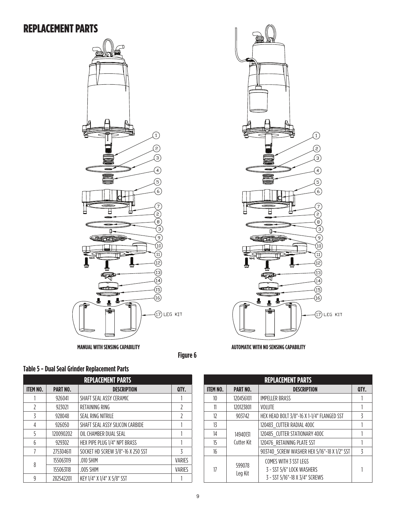### REPLACEMENT PARTS





**Figure 6**



|                 | <b>REPLACEMENT PARTS</b> |                                   |                          |  |  |  |
|-----------------|--------------------------|-----------------------------------|--------------------------|--|--|--|
| <b>ITEM NO.</b> | <b>PART NO.</b>          | <b>DESCRIPTION</b>                | QTY.                     |  |  |  |
|                 | 926041                   | SHAFT SEAL ASSY CERAMIC           |                          |  |  |  |
| 7               | 923021                   | RETAINING RING                    | 2                        |  |  |  |
| ζ               | 928048                   | <b>SEAL RING NITRILE</b>          | $\overline{\phantom{a}}$ |  |  |  |
| 4               | 926050                   | SHAFT SEAL ASSY SILICON CARBIDE   |                          |  |  |  |
| 5               | 120090202                | OIL CHAMBER DUAL SEAL             |                          |  |  |  |
| 6               | 929302                   | HEX PIPE PLUG 1/4" NPT BRASS      |                          |  |  |  |
|                 | 275304611                | SOCKET HD SCREW 3/8"-16 X 250 SST | ζ                        |  |  |  |
|                 | 155063119                | $.010$ SHIM                       | <b>VARIES</b>            |  |  |  |
| 8               | 155063118                | .005 SHIM                         | <b>VARIES</b>            |  |  |  |
| q               | 282542201                | KEY 1/4" X 1/4" X 5/8" SST        |                          |  |  |  |

| <b>REPLACEMENT PARTS</b> |                   |                                                                                             |                |  |  |
|--------------------------|-------------------|---------------------------------------------------------------------------------------------|----------------|--|--|
| <b>ITEM NO.</b>          | <b>PART NO.</b>   | <b>DESCRIPTION</b>                                                                          | QTY.           |  |  |
| 10                       | 120456101         | <b>IMPELLER BRASS</b>                                                                       |                |  |  |
| 11                       | 120123801         | <b>VOLUTE</b>                                                                               |                |  |  |
| 12                       | 903742            | HEX HEAD BOLT 3/8"-16 X 1-1/4" FLANGED SST                                                  | 3              |  |  |
| 13                       |                   | 120483 CUTTER RADIAL 400C                                                                   |                |  |  |
| 14                       | 14940131          | 120485_CUTTER STATIONARY 400C                                                               |                |  |  |
| 15                       | Cutter Kit        | 120476 RETAINING PLATE SST                                                                  |                |  |  |
| 16                       |                   | 903740 SCREW WASHER HEX 5/16"-18 X 1/2" SST                                                 | $\overline{5}$ |  |  |
| 17                       | 599078<br>Leg Kit | <b>COMES WITH 3 SST LEGS</b><br>3 - SST 5/6" LOCK WASHERS<br>3 - SST 5/16"-18 X 3/4" SCREWS |                |  |  |

### 9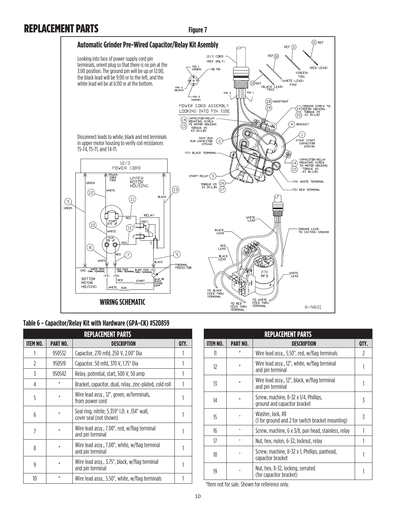## REPLACEMENT PARTS

**Figure 7**



#### **Table 6 - Capacitor/Relay Kit with Hardware (GPA-CK) #520859**

| <b>REPLACEMENT PARTS</b> |                 |                                                                         |      |  |  |
|--------------------------|-----------------|-------------------------------------------------------------------------|------|--|--|
| ITEM NO.                 | <b>PART NO.</b> | <b>DESCRIPTION</b>                                                      | QTY. |  |  |
|                          | 950532          | Capacitor, 270 mfd, 250 V, 2.00" Dia                                    |      |  |  |
| 2                        | 950519          | Capacitor, 50 mfd, 370 V, 1.75" Dia                                     |      |  |  |
| 3                        | 950542          | Relay, potential, start, 500 V, 50 amp                                  |      |  |  |
| 4                        | *               | Bracket, capacitor, dual, relay, zinc-plated, cold roll                 |      |  |  |
| 5                        | *               | Wire lead assy., 12", green, w/terminals,<br>from power cord            |      |  |  |
| 6                        | *               | Seal ring, nitrile, 5.359" I.D. x .134" wall,<br>cover seal (not shown) |      |  |  |
| 7                        | *               | Wire lead assy., 7.00", red, w/flag terminal<br>and pin terminal        |      |  |  |
| 8                        | $\ast$          | Wire lead assy., 7.00", white, w/flag terminal<br>and pin terminal      |      |  |  |
| 9                        | *               | Wire lead assy., 3.75", black, w/flag terminal<br>and pin terminal      |      |  |  |
| 10                       | *               | Wire lead assy., 5.50", white, w/flag terminals                         |      |  |  |

|          |                 | <b>REPLACEMENT PARTS</b>                                              |      |
|----------|-----------------|-----------------------------------------------------------------------|------|
| ITEM NO. | <b>PART NO.</b> | DESCRIPTION                                                           | QTY. |
| 11       | *               | Wire lead assy., 5.50", red, w/flag terminals                         | 7    |
| 12       | *               | Wire lead assy., 12", white, w/flag terminal<br>and pin terminal      |      |
| 13       | *               | Wire lead assy., 12", black, w/flag terminal<br>and pin terminal      |      |
| 14       | $\ast$          | Screw, machine, 8-32 x 1/4, Phillips,<br>ground and capacitor bracket | 3    |
| 15       |                 | Washer, lock, #8<br>(1 for ground and 2 for switch bracket mounting)  | 3    |
| 16       |                 | Screw, machine, 6 x 3/8, pan head, stainless, relay                   |      |
| 17       |                 | Nut, hex, nylon, 6-32, locknut, relay                                 |      |
| 18       |                 | Screw, machine, 8-32 x 1, Phillips, panhead,<br>capacitor bracket     |      |
| 19       |                 | Nut, hex, 8-32, locking, serrated<br>(for capacitor bracket)          |      |

\*Item not for sale. Shown for reference only.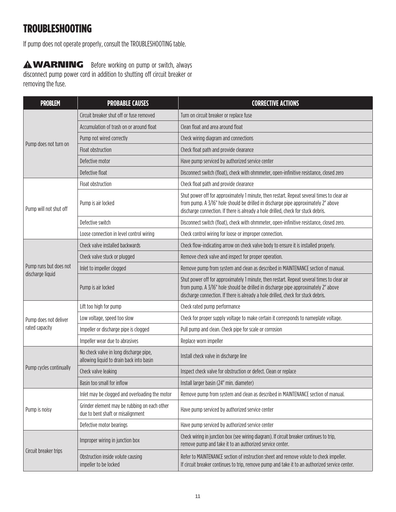# TROUBLESHOOTING

If pump does not operate properly, consult the TROUBLESHOOTING table.

 WARNING Before working on pump or switch, always disconnect pump power cord in addition to shutting off circuit breaker or removing the fuse.

| <b>PROBLEM</b>          | <b>PROBABLE CAUSES</b>                                                             | <b>CORRECTIVE ACTIONS</b>                                                                                                                                                                                                                                             |  |  |
|-------------------------|------------------------------------------------------------------------------------|-----------------------------------------------------------------------------------------------------------------------------------------------------------------------------------------------------------------------------------------------------------------------|--|--|
|                         | Circuit breaker shut off or fuse removed                                           | Turn on circuit breaker or replace fuse                                                                                                                                                                                                                               |  |  |
|                         | Accumulation of trash on or around float                                           | Clean float and area around float                                                                                                                                                                                                                                     |  |  |
|                         | Pump not wired correctly                                                           | Check wiring diagram and connections                                                                                                                                                                                                                                  |  |  |
| Pump does not turn on   | Float obstruction                                                                  | Check float path and provide clearance                                                                                                                                                                                                                                |  |  |
|                         | Defective motor                                                                    | Have pump serviced by authorized service center                                                                                                                                                                                                                       |  |  |
|                         | Defective float                                                                    | Disconnect switch (float), check with ohmmeter, open-infinitive resistance, closed zero                                                                                                                                                                               |  |  |
| Pump will not shut off  | Float obstruction                                                                  | Check float path and provide clearance                                                                                                                                                                                                                                |  |  |
|                         | Pump is air locked                                                                 | Shut power off for approximately 1 minute, then restart. Repeat several times to clear air<br>from pump. A 3/16" hole should be drilled in discharge pipe approximately 2" above<br>discharge connection. If there is already a hole drilled, check for stuck debris. |  |  |
|                         | Defective switch                                                                   | Disconnect switch (float), check with ohmmeter, open-infinitive resistance, closed zero.                                                                                                                                                                              |  |  |
|                         | Loose connection in level control wiring                                           | Check control wiring for loose or improper connection.                                                                                                                                                                                                                |  |  |
|                         | Check valve installed backwards                                                    | Check flow-indicating arrow on check valve body to ensure it is installed properly.                                                                                                                                                                                   |  |  |
|                         | Check valve stuck or plugged                                                       | Remove check valve and inspect for proper operation.                                                                                                                                                                                                                  |  |  |
| Pump runs but does not  | Inlet to impeller clogged                                                          | Remove pump from system and clean as described in MAINTENANCE section of manual.                                                                                                                                                                                      |  |  |
| discharge liquid        | Pump is air locked                                                                 | Shut power off for approximately 1 minute, then restart. Repeat several times to clear air<br>from pump. A 3/16" hole should be drilled in discharge pipe approximately 2" above<br>discharge connection. If there is already a hole drilled, check for stuck debris. |  |  |
|                         | Lift too high for pump                                                             | Check rated pump performance                                                                                                                                                                                                                                          |  |  |
| Pump does not deliver   | Low voltage, speed too slow                                                        | Check for proper supply voltage to make certain it corresponds to nameplate voltage.                                                                                                                                                                                  |  |  |
| rated capacity          | Impeller or discharge pipe is clogged                                              | Pull pump and clean. Check pipe for scale or corrosion                                                                                                                                                                                                                |  |  |
|                         | Impeller wear due to abrasives                                                     | Replace worn impeller                                                                                                                                                                                                                                                 |  |  |
|                         | No check valve in long discharge pipe,<br>allowing liquid to drain back into basin | Install check valve in discharge line                                                                                                                                                                                                                                 |  |  |
| Pump cycles continually | Check valve leaking                                                                | Inspect check valve for obstruction or defect. Clean or replace                                                                                                                                                                                                       |  |  |
|                         | Basin too small for inflow                                                         | Install larger basin (24" min. diameter)                                                                                                                                                                                                                              |  |  |
|                         | Inlet may be clogged and overloading the motor                                     | Remove pump from system and clean as described in MAINTENANCE section of manual.                                                                                                                                                                                      |  |  |
| Pump is noisy           | Grinder element may be rubbing on each other<br>due to bent shaft or misalignment  | Have pump serviced by authorized service center                                                                                                                                                                                                                       |  |  |
|                         | Defective motor bearings                                                           | Have pump serviced by authorized service center                                                                                                                                                                                                                       |  |  |
|                         | Improper wiring in junction box                                                    | Check wiring in junction box (see wiring diagram). If circuit breaker continues to trip,<br>remove pump and take it to an authorized service center.                                                                                                                  |  |  |
| Circuit breaker trips   | Obstruction inside volute causing<br>impeller to be locked                         | Refer to MAINTENANCE section of instruction sheet and remove volute to check impeller.<br>If circuit breaker continues to trip, remove pump and take it to an authorized service center.                                                                              |  |  |